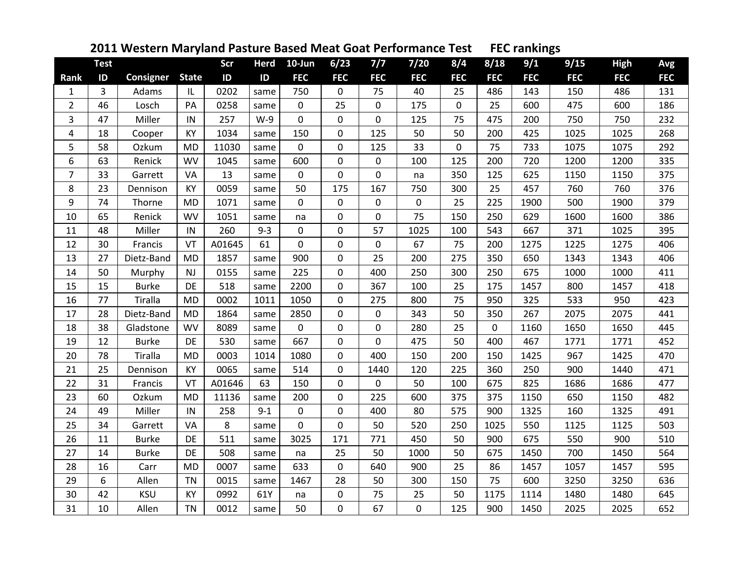| 2011 Western Maryland Pasture Based Meat Goat Performance Test FEC rankings |  |
|-----------------------------------------------------------------------------|--|
|-----------------------------------------------------------------------------|--|

|                | <b>Test</b>    |              |              | Scr    | <b>Herd</b> | $10$ -Jun   | 6/23        | 7/7         | $7/20$      | 8/4         | 8/18        | 9/1        | 9/15       | <b>High</b> | Avg        |
|----------------|----------------|--------------|--------------|--------|-------------|-------------|-------------|-------------|-------------|-------------|-------------|------------|------------|-------------|------------|
| <b>Rank</b>    | ID             | Consigner    | <b>State</b> | ID     | ID          | <b>FEC</b>  | <b>FEC</b>  | <b>FEC</b>  | <b>FEC</b>  | <b>FEC</b>  | <b>FEC</b>  | <b>FEC</b> | <b>FEC</b> | <b>FEC</b>  | <b>FEC</b> |
| $\mathbf{1}$   | $\overline{3}$ | Adams        | IL           | 0202   | same        | 750         | $\mathbf 0$ | 75          | 40          | 25          | 486         | 143        | 150        | 486         | 131        |
| $\overline{2}$ | 46             | Losch        | PA           | 0258   | same        | $\mathbf 0$ | 25          | $\mathbf 0$ | 175         | $\mathbf 0$ | 25          | 600        | 475        | 600         | 186        |
| 3              | 47             | Miller       | IN           | 257    | $W-9$       | $\mathbf 0$ | 0           | 0           | 125         | 75          | 475         | 200        | 750        | 750         | 232        |
| 4              | 18             | Cooper       | KY           | 1034   | same        | 150         | $\mathbf 0$ | 125         | 50          | 50          | 200         | 425        | 1025       | 1025        | 268        |
| 5              | 58             | Ozkum        | <b>MD</b>    | 11030  | same        | $\mathbf 0$ | 0           | 125         | 33          | $\mathbf 0$ | 75          | 733        | 1075       | 1075        | 292        |
| 6              | 63             | Renick       | <b>WV</b>    | 1045   | same        | 600         | $\mathbf 0$ | $\pmb{0}$   | 100         | 125         | 200         | 720        | 1200       | 1200        | 335        |
| $\overline{7}$ | 33             | Garrett      | VA           | 13     | same        | $\mathbf 0$ | $\mathbf 0$ | $\pmb{0}$   | na          | 350         | 125         | 625        | 1150       | 1150        | 375        |
| 8              | 23             | Dennison     | KY           | 0059   | same        | 50          | 175         | 167         | 750         | 300         | 25          | 457        | 760        | 760         | 376        |
| 9              | 74             | Thorne       | <b>MD</b>    | 1071   | same        | $\mathbf 0$ | 0           | 0           | $\mathbf 0$ | 25          | 225         | 1900       | 500        | 1900        | 379        |
| 10             | 65             | Renick       | <b>WV</b>    | 1051   | same        | na          | $\mathbf 0$ | $\pmb{0}$   | 75          | 150         | 250         | 629        | 1600       | 1600        | 386        |
| 11             | 48             | Miller       | IN           | 260    | $9 - 3$     | $\mathbf 0$ | 0           | 57          | 1025        | 100         | 543         | 667        | 371        | 1025        | 395        |
| 12             | 30             | Francis      | VT           | A01645 | 61          | $\mathbf 0$ | $\mathbf 0$ | $\pmb{0}$   | 67          | 75          | 200         | 1275       | 1225       | 1275        | 406        |
| 13             | 27             | Dietz-Band   | <b>MD</b>    | 1857   | same        | 900         | $\mathbf 0$ | 25          | 200         | 275         | 350         | 650        | 1343       | 1343        | 406        |
| 14             | 50             | Murphy       | NJ.          | 0155   | same        | 225         | 0           | 400         | 250         | 300         | 250         | 675        | 1000       | 1000        | 411        |
| 15             | 15             | <b>Burke</b> | DE           | 518    | same        | 2200        | $\mathbf 0$ | 367         | 100         | 25          | 175         | 1457       | 800        | 1457        | 418        |
| 16             | 77             | Tiralla      | <b>MD</b>    | 0002   | 1011        | 1050        | 0           | 275         | 800         | 75          | 950         | 325        | 533        | 950         | 423        |
| 17             | 28             | Dietz-Band   | <b>MD</b>    | 1864   | same        | 2850        | 0           | 0           | 343         | 50          | 350         | 267        | 2075       | 2075        | 441        |
| 18             | 38             | Gladstone    | <b>WV</b>    | 8089   | same        | $\mathbf 0$ | 0           | 0           | 280         | 25          | $\mathbf 0$ | 1160       | 1650       | 1650        | 445        |
| 19             | 12             | <b>Burke</b> | DE           | 530    | same        | 667         | 0           | 0           | 475         | 50          | 400         | 467        | 1771       | 1771        | 452        |
| 20             | 78             | Tiralla      | <b>MD</b>    | 0003   | 1014        | 1080        | $\mathbf 0$ | 400         | 150         | 200         | 150         | 1425       | 967        | 1425        | 470        |
| 21             | 25             | Dennison     | KY           | 0065   | same        | 514         | $\mathbf 0$ | 1440        | 120         | 225         | 360         | 250        | 900        | 1440        | 471        |
| 22             | 31             | Francis      | VT           | A01646 | 63          | 150         | 0           | 0           | 50          | 100         | 675         | 825        | 1686       | 1686        | 477        |
| 23             | 60             | Ozkum        | <b>MD</b>    | 11136  | same        | 200         | $\mathbf 0$ | 225         | 600         | 375         | 375         | 1150       | 650        | 1150        | 482        |
| 24             | 49             | Miller       | IN           | 258    | $9 - 1$     | $\mathbf 0$ | $\mathbf 0$ | 400         | 80          | 575         | 900         | 1325       | 160        | 1325        | 491        |
| 25             | 34             | Garrett      | VA           | 8      | same        | 0           | $\mathbf 0$ | 50          | 520         | 250         | 1025        | 550        | 1125       | 1125        | 503        |
| 26             | 11             | <b>Burke</b> | DE           | 511    | same        | 3025        | 171         | 771         | 450         | 50          | 900         | 675        | 550        | 900         | 510        |
| 27             | 14             | <b>Burke</b> | DE           | 508    | same        | na          | 25          | 50          | 1000        | 50          | 675         | 1450       | 700        | 1450        | 564        |
| 28             | 16             | Carr         | <b>MD</b>    | 0007   | same        | 633         | 0           | 640         | 900         | 25          | 86          | 1457       | 1057       | 1457        | 595        |
| 29             | 6              | Allen        | <b>TN</b>    | 0015   | same        | 1467        | 28          | 50          | 300         | 150         | 75          | 600        | 3250       | 3250        | 636        |
| 30             | 42             | <b>KSU</b>   | KY           | 0992   | 61Y         | na          | 0           | 75          | 25          | 50          | 1175        | 1114       | 1480       | 1480        | 645        |
| 31             | 10             | Allen        | <b>TN</b>    | 0012   | same        | 50          | 0           | 67          | $\mathbf 0$ | 125         | 900         | 1450       | 2025       | 2025        | 652        |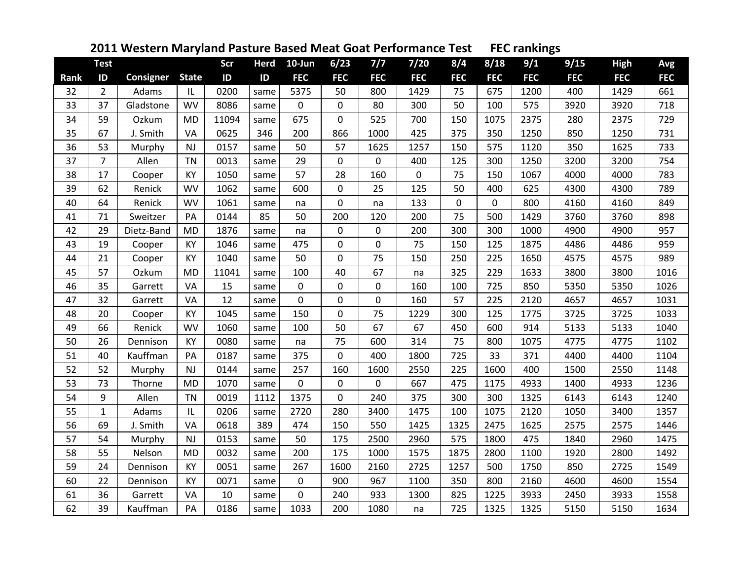| 2011 Western Maryland Pasture Based Meat Goat Performance Test FEC rankings |  |
|-----------------------------------------------------------------------------|--|
|-----------------------------------------------------------------------------|--|

|             | <b>Test</b>    |            |              | Scr   | <b>Herd</b> | 10-Jun      | 6/23           | $7/7$      | $7/20$     | 8/4         | 8/18       | 9/1        | 9/15       | <b>High</b> | Avg        |
|-------------|----------------|------------|--------------|-------|-------------|-------------|----------------|------------|------------|-------------|------------|------------|------------|-------------|------------|
| <b>Rank</b> | ID             | Consigner  | <b>State</b> | ID    | ID          | <b>FEC</b>  | <b>FEC</b>     | <b>FEC</b> | <b>FEC</b> | <b>FEC</b>  | <b>FEC</b> | <b>FEC</b> | <b>FEC</b> | <b>FEC</b>  | <b>FEC</b> |
| 32          | $\overline{2}$ | Adams      | IL           | 0200  | same        | 5375        | 50             | 800        | 1429       | 75          | 675        | 1200       | 400        | 1429        | 661        |
| 33          | 37             | Gladstone  | <b>WV</b>    | 8086  | same        | 0           | $\mathbf 0$    | 80         | 300        | 50          | 100        | 575        | 3920       | 3920        | 718        |
| 34          | 59             | Ozkum      | <b>MD</b>    | 11094 | same        | 675         | 0              | 525        | 700        | 150         | 1075       | 2375       | 280        | 2375        | 729        |
| 35          | 67             | J. Smith   | VA           | 0625  | 346         | 200         | 866            | 1000       | 425        | 375         | 350        | 1250       | 850        | 1250        | 731        |
| 36          | 53             | Murphy     | NJ           | 0157  | same        | 50          | 57             | 1625       | 1257       | 150         | 575        | 1120       | 350        | 1625        | 733        |
| 37          | $\overline{7}$ | Allen      | <b>TN</b>    | 0013  | same        | 29          | $\mathbf 0$    | 0          | 400        | 125         | 300        | 1250       | 3200       | 3200        | 754        |
| 38          | 17             | Cooper     | KY           | 1050  | same        | 57          | 28             | 160        | 0          | 75          | 150        | 1067       | 4000       | 4000        | 783        |
| 39          | 62             | Renick     | <b>WV</b>    | 1062  | same        | 600         | $\mathbf 0$    | 25         | 125        | 50          | 400        | 625        | 4300       | 4300        | 789        |
| 40          | 64             | Renick     | <b>WV</b>    | 1061  | same        | na          | 0              | na         | 133        | $\mathbf 0$ | 0          | 800        | 4160       | 4160        | 849        |
| 41          | 71             | Sweitzer   | PA           | 0144  | 85          | 50          | 200            | 120        | 200        | 75          | 500        | 1429       | 3760       | 3760        | 898        |
| 42          | 29             | Dietz-Band | <b>MD</b>    | 1876  | same        | na          | 0              | 0          | 200        | 300         | 300        | 1000       | 4900       | 4900        | 957        |
| 43          | 19             | Cooper     | KY           | 1046  | same        | 475         | $\mathbf 0$    | 0          | 75         | 150         | 125        | 1875       | 4486       | 4486        | 959        |
| 44          | 21             | Cooper     | KY           | 1040  | same        | 50          | 0              | 75         | 150        | 250         | 225        | 1650       | 4575       | 4575        | 989        |
| 45          | 57             | Ozkum      | <b>MD</b>    | 11041 | same        | 100         | 40             | 67         | na         | 325         | 229        | 1633       | 3800       | 3800        | 1016       |
| 46          | 35             | Garrett    | VA           | 15    | same        | $\mathbf 0$ | 0              | 0          | 160        | 100         | 725        | 850        | 5350       | 5350        | 1026       |
| 47          | 32             | Garrett    | VA           | 12    | same        | $\mathbf 0$ | $\mathbf 0$    | 0          | 160        | 57          | 225        | 2120       | 4657       | 4657        | 1031       |
| 48          | 20             | Cooper     | KY           | 1045  | same        | 150         | $\mathbf 0$    | 75         | 1229       | 300         | 125        | 1775       | 3725       | 3725        | 1033       |
| 49          | 66             | Renick     | WV           | 1060  | same        | 100         | 50             | 67         | 67         | 450         | 600        | 914        | 5133       | 5133        | 1040       |
| 50          | 26             | Dennison   | KY           | 0080  | same        | na          | 75             | 600        | 314        | 75          | 800        | 1075       | 4775       | 4775        | 1102       |
| 51          | 40             | Kauffman   | PA           | 0187  | same        | 375         | 0              | 400        | 1800       | 725         | 33         | 371        | 4400       | 4400        | 1104       |
| 52          | 52             | Murphy     | NJ           | 0144  | same        | 257         | 160            | 1600       | 2550       | 225         | 1600       | 400        | 1500       | 2550        | 1148       |
| 53          | 73             | Thorne     | <b>MD</b>    | 1070  | same        | 0           | 0              | 0          | 667        | 475         | 1175       | 4933       | 1400       | 4933        | 1236       |
| 54          | 9              | Allen      | <b>TN</b>    | 0019  | 1112        | 1375        | $\overline{0}$ | 240        | 375        | 300         | 300        | 1325       | 6143       | 6143        | 1240       |
| 55          | $\mathbf{1}$   | Adams      | IL           | 0206  | same        | 2720        | 280            | 3400       | 1475       | 100         | 1075       | 2120       | 1050       | 3400        | 1357       |
| 56          | 69             | J. Smith   | VA           | 0618  | 389         | 474         | 150            | 550        | 1425       | 1325        | 2475       | 1625       | 2575       | 2575        | 1446       |
| 57          | 54             | Murphy     | NJ           | 0153  | same        | 50          | 175            | 2500       | 2960       | 575         | 1800       | 475        | 1840       | 2960        | 1475       |
| 58          | 55             | Nelson     | <b>MD</b>    | 0032  | same        | 200         | 175            | 1000       | 1575       | 1875        | 2800       | 1100       | 1920       | 2800        | 1492       |
| 59          | 24             | Dennison   | KY           | 0051  | same        | 267         | 1600           | 2160       | 2725       | 1257        | 500        | 1750       | 850        | 2725        | 1549       |
| 60          | 22             | Dennison   | KY           | 0071  | same        | 0           | 900            | 967        | 1100       | 350         | 800        | 2160       | 4600       | 4600        | 1554       |
| 61          | 36             | Garrett    | VA           | 10    | same        | 0           | 240            | 933        | 1300       | 825         | 1225       | 3933       | 2450       | 3933        | 1558       |
| 62          | 39             | Kauffman   | PA           | 0186  | same        | 1033        | 200            | 1080       | na         | 725         | 1325       | 1325       | 5150       | 5150        | 1634       |